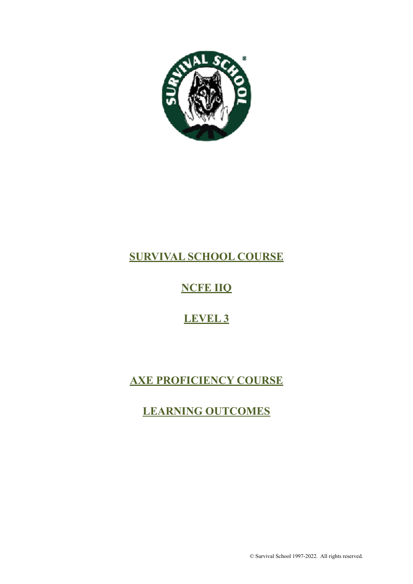

# **SURVIVAL SCHOOL COURSE**

# **NCFE IIQ**

# **LEVEL 3**

# **AXE PROFICIENCY COURSE**

# **LEARNING OUTCOMES**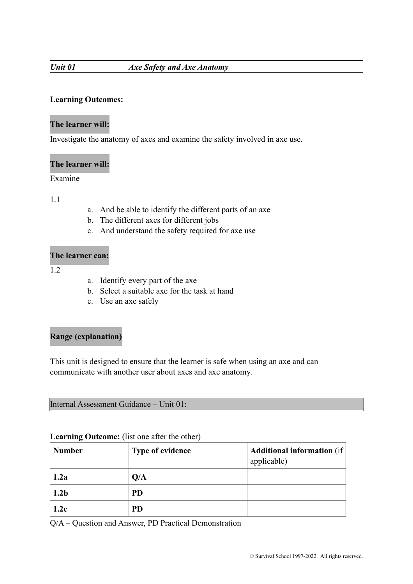# *Unit 01 Axe Safety and Axe Anatomy*

# **Learning Outcomes:**

# **The learner will:**

Investigate the anatomy of axes and examine the safety involved in axe use.

# **The learner will:**

# Examine

1.1

- a. And be able to identify the different parts of an axe
- b. The different axes for different jobs
- c. And understand the safety required for axe use

### **The learner can:**

1.2

- a. Identify every part of the axe
- b. Select a suitable axe for the task at hand
- c. Use an axe safely

# **Range (explanation)**

This unit is designed to ensure that the learner is safe when using an axe and can communicate with another user about axes and axe anatomy.

Internal Assessment Guidance – Unit 01:

#### **Learning Outcome:** (list one after the other)

| <b>Number</b>    | <b>Type of evidence</b> | <b>Additional information</b> (if)<br>applicable) |
|------------------|-------------------------|---------------------------------------------------|
| 1.2a             | Q/A                     |                                                   |
| 1.2 <sub>b</sub> | <b>PD</b>               |                                                   |
| 1.2c             | <b>PD</b>               |                                                   |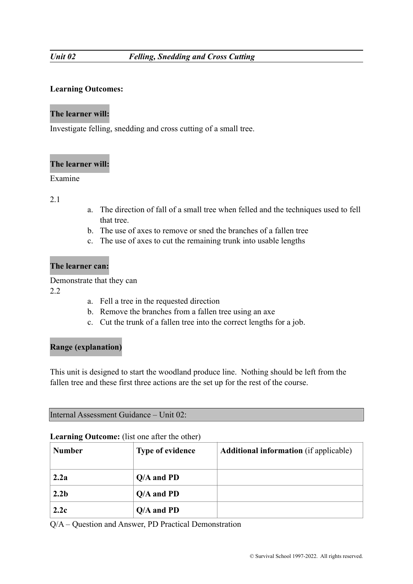# **Learning Outcomes:**

# **The learner will:**

Investigate felling, snedding and cross cutting of a small tree.

# **The learner will:**

# Examine

### 2.1

- a. The direction of fall of a small tree when felled and the techniques used to fell that tree.
- b. The use of axes to remove or sned the branches of a fallen tree
- c. The use of axes to cut the remaining trunk into usable lengths

# **The learner can:**

Demonstrate that they can

2.2

- a. Fell a tree in the requested direction
- b. Remove the branches from a fallen tree using an axe
- c. Cut the trunk of a fallen tree into the correct lengths for a job.

### **Range (explanation)**

This unit is designed to start the woodland produce line. Nothing should be left from the fallen tree and these first three actions are the set up for the rest of the course.

Internal Assessment Guidance – Unit 02:

### **Learning Outcome:** (list one after the other)

| <b>Number</b>    | <b>Type of evidence</b> | <b>Additional information</b> (if applicable) |
|------------------|-------------------------|-----------------------------------------------|
| 2.2a             | $Q/A$ and PD            |                                               |
| 2.2 <sub>b</sub> | $Q/A$ and PD            |                                               |
| 2.2c             | $Q/A$ and PD            |                                               |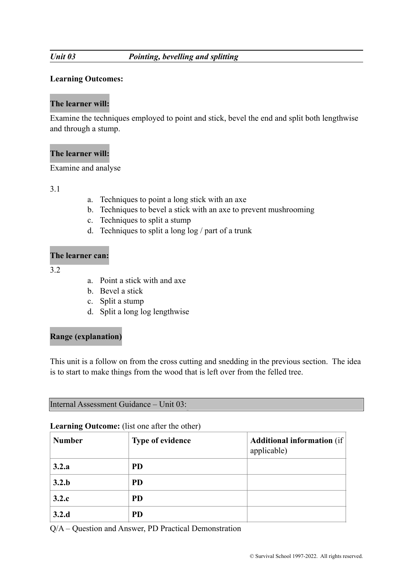# *Unit 03 Pointing, bevelling and splitting*

# **Learning Outcomes:**

# **The learner will:**

Examine the techniques employed to point and stick, bevel the end and split both lengthwise and through a stump.

# **The learner will:**

Examine and analyse

3.1

- a. Techniques to point a long stick with an axe
- b. Techniques to bevel a stick with an axe to prevent mushrooming
- c. Techniques to split a stump
- d. Techniques to split a long log / part of a trunk

# **The learner can:**

3.2

- a. Point a stick with and axe
- b. Bevel a stick
- c. Split a stump
- d. Split a long log lengthwise

# **Range (explanation)**

This unit is a follow on from the cross cutting and snedding in the previous section. The idea is to start to make things from the wood that is left over from the felled tree.

Internal Assessment Guidance – Unit 03:

#### **Learning Outcome:** (list one after the other)

| <b>Number</b> | <b>Type of evidence</b> | <b>Additional information</b> (if<br>applicable) |
|---------------|-------------------------|--------------------------------------------------|
| 3.2.a         | <b>PD</b>               |                                                  |
| 3.2.b         | <b>PD</b>               |                                                  |
| 3.2.c         | <b>PD</b>               |                                                  |
| 3.2.d         | <b>PD</b>               |                                                  |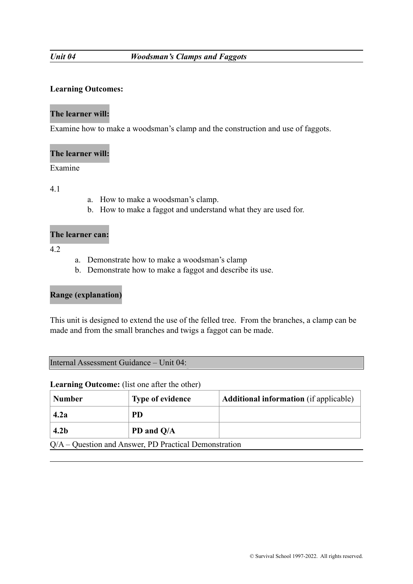### **Learning Outcomes:**

### **The learner will:**

Examine how to make a woodsman's clamp and the construction and use of faggots.

#### **The learner will:**

Examine

4.1

- a. How to make a woodsman's clamp.
- b. How to make a faggot and understand what they are used for.

#### **The learner can:**

4.2

- a. Demonstrate how to make a woodsman's clamp
- b. Demonstrate how to make a faggot and describe its use.

# **Range (explanation)**

This unit is designed to extend the use of the felled tree. From the branches, a clamp can be made and from the small branches and twigs a faggot can be made.

#### Internal Assessment Guidance – Unit 04:

#### **Learning Outcome:** (list one after the other)

| Number                                                      | <b>Type of evidence</b> | <b>Additional information</b> (if applicable) |
|-------------------------------------------------------------|-------------------------|-----------------------------------------------|
| 4.2a                                                        | <b>PD</b>               |                                               |
| 4.2 <sub>b</sub>                                            | PD and Q/A              |                                               |
| $O/\Lambda$ Ougation and Anguian DD Drastical Demonstration |                         |                                               |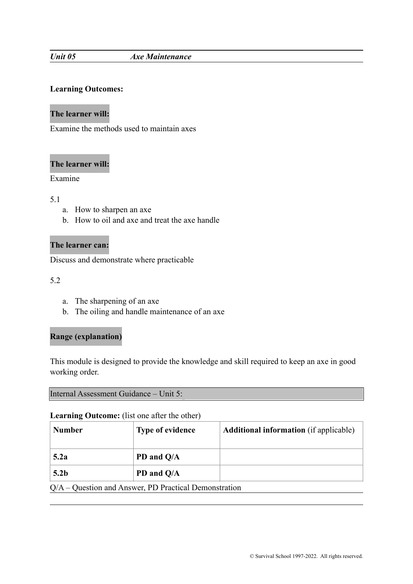#### *Unit 05 Axe Maintenance*

# **Learning Outcomes:**

### **The learner will:**

Examine the methods used to maintain axes

#### **The learner will:**

# Examine

#### 5.1

- a. How to sharpen an axe
- b. How to oil and axe and treat the axe handle

# **The learner can:**

Discuss and demonstrate where practicable

5.2

- a. The sharpening of an axe
- b. The oiling and handle maintenance of an axe

### **Range (explanation)**

This module is designed to provide the knowledge and skill required to keep an axe in good working order.

Internal Assessment Guidance – Unit 5:

#### **Learning Outcome:** (list one after the other)

| <b>Number</b>                                           | <b>Type of evidence</b> | <b>Additional information</b> (if applicable) |
|---------------------------------------------------------|-------------------------|-----------------------------------------------|
| 5.2a                                                    | PD and Q/A              |                                               |
| 5.2 <sub>b</sub>                                        | PD and Q/A              |                                               |
| $Q/A -$ Question and Answer, PD Practical Demonstration |                         |                                               |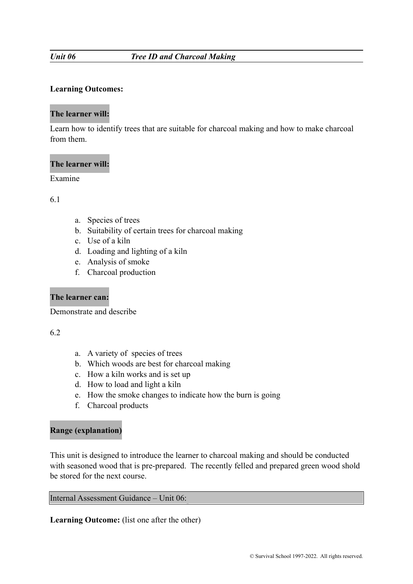#### **Learning Outcomes:**

#### **The learner will:**

Learn how to identify trees that are suitable for charcoal making and how to make charcoal from them.

#### **The learner will:**

### Examine

6.1

- a. Species of trees
- b. Suitability of certain trees for charcoal making
- c. Use of a kiln
- d. Loading and lighting of a kiln
- e. Analysis of smoke
- f. Charcoal production

### **The learner can:**

Demonstrate and describe

#### 6.2

- a. A variety of species of trees
- b. Which woods are best for charcoal making
- c. How a kiln works and is set up
- d. How to load and light a kiln
- e. How the smoke changes to indicate how the burn is going
- f. Charcoal products

### **Range (explanation)**

This unit is designed to introduce the learner to charcoal making and should be conducted with seasoned wood that is pre-prepared. The recently felled and prepared green wood shold be stored for the next course.

Internal Assessment Guidance – Unit 06:

**Learning Outcome:** (list one after the other)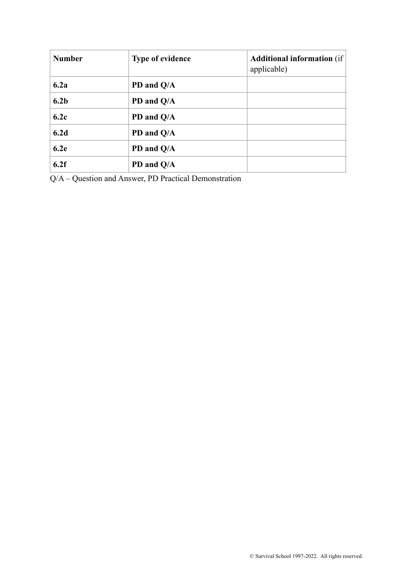| <b>Number</b>    | <b>Type of evidence</b> | <b>Additional information</b> (if<br>applicable) |
|------------------|-------------------------|--------------------------------------------------|
| 6.2a             | PD and Q/A              |                                                  |
| 6.2 <sub>b</sub> | PD and Q/A              |                                                  |
| 6.2c             | PD and Q/A              |                                                  |
| 6.2d             | PD and Q/A              |                                                  |
| 6.2e             | PD and Q/A              |                                                  |
| 6.2f             | PD and Q/A              |                                                  |